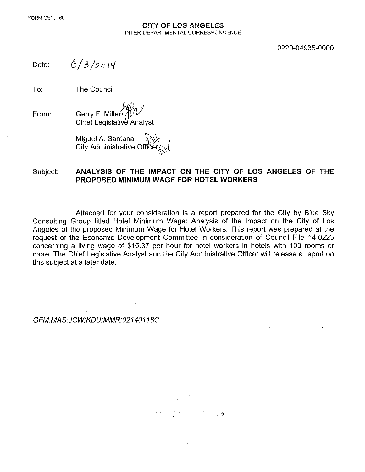#### CITY OF LOS ANGELES INTER-DEPARTMENTAL CORRESPONDENCE

#### 0220-04935-0000

Date:

From:

 $6/3/2014$ 

To: The Council

*h9%1 '/* Gerry F. Miller Chief Legislative Analyst

Miguel A. Santana City Administrative Officer

#### Subject: ANALYSIS OF THE IMPACT ON THE CITY OF LOS ANGELES OF THE PROPOSED MINIMUM WAGE FOR HOTEL WORKERS

Attached for your consideration is a report prepared for the City by Blue Sky Consulting Group titled Hotel Minimum Wage: Analysis of the Impact on the City of Los Angeles of the proposed Minimum Wage for Hotel Workers. This report was prepared at the request of the Economic Development Committee in consideration of Council File 14-0223 conceming a living wage of \$15.37 per hour for hotel workers in hotels with 100 rooms or more. The Chief Legislative Analyst and the City Administrative Officer will release a report on this subject at a later date.

#### *GFM:MAS:JCW:KDU:MMR:02140118C*

그냥 왜 그래? 그렇게 만든 종횳  $\mathfrak{T}^{\mathrm{an}}_{\mathrm{in}}$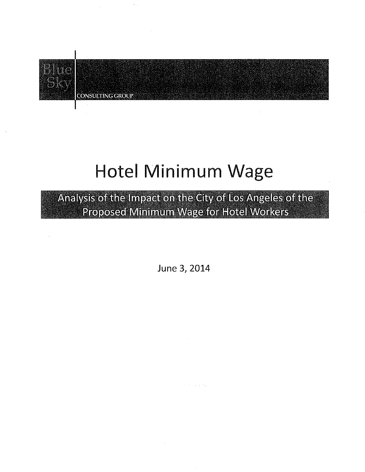

**CONSULTING GROUP** 

# Hotel Minimum Wage

Analysis of the Impact on the City of Los Angeles of the Proposed Minimum Wage for Hotel Workers

June 3,2014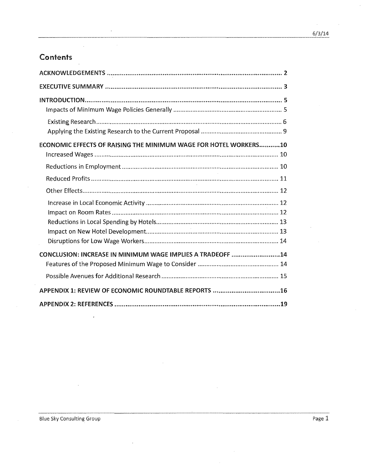# **Contents**

| <b>ECONOMIC EFFECTS OF RAISING THE MINIMUM WAGE FOR HOTEL WORKERS10</b> |
|-------------------------------------------------------------------------|
|                                                                         |
|                                                                         |
|                                                                         |
|                                                                         |
| CONCLUSION: INCREASE IN MINIMUM WAGE IMPLIES A TRADEOFF  14             |
|                                                                         |
| APPENDIX 1: REVIEW OF ECONOMIC ROUNDTABLE REPORTS 16                    |
|                                                                         |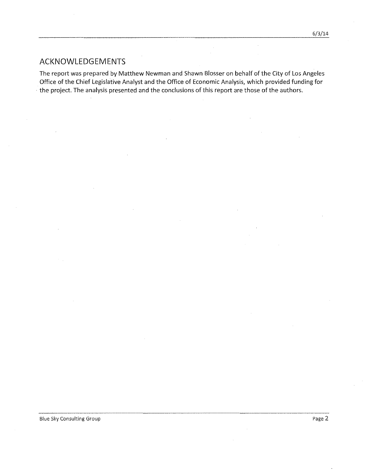# ACKNOWLEDGEMENTS

The report was prepared by Matthew Newman and Shawn Blosser on behalf of the City of Los Angeles Office of the Chief Legislative Analyst and the Office of Economic Analysis, which provided funding for the project. The analysis presented and the conclusions of this report are those of the authors.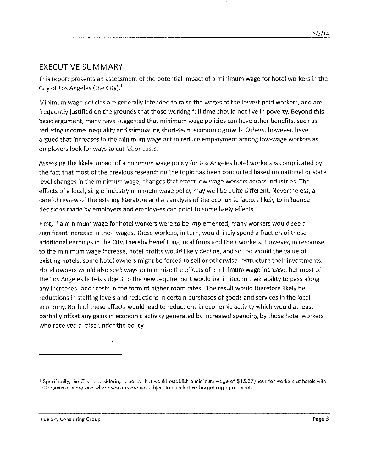### **EXECUTIVE SUMMARY**

This report presents an assessment of the potential impact of a minimum wage for hotel workers in the City of Los Angeles (the City). $<sup>1</sup>$ </sup>

Minimum wage policies are generaJly intended to raise the wages of the lowest paid workers, and are. frequently justified on the grounds that those working full time should not live in poverty. Beyond this basic argument, many have suggested that minimum wage policies can have other benefits, such as reducing income inequality and stimulating short-term economic growth. Others, however, *have* argued that increases in the minimum wage act to reduce employment among low-wage workers as employers look for ways to cut labor costs.

Assessing the likely impact of a minimum wage policy for Los Angeles hotel workers is complicated by the fact that most of the previous research on the topic has been conducted based on national or state level changes in the minimum wage, changes that effect low wage workers across industries. The effects of a local, single-industry minimum wage policy may well be quite different. Nevertheless, a careful *review* of the existing literature and an analysis of the economic factors likely to influence decisions made by employers and employees can point to some likely effects.

First, if a minimum wage for hotel workers were to be implemented, many workers would see a significant increase in their wages. These workers, in turn, would likely spend a fraction of these additional earnings in the City, thereby benefitting local firms and their workers. However, in response to the minimum wage increase, hotel profits would likely decline, and so too would the value of existing hotels; some hotel owners might be forced to sell or otherwise restructure their investments. Hotel owners would also seek ways to minimize the effects of a minimum wage increase, but most of the Los Angeles hotels subject to the new requirement would be limited in their ability to passalong any increased labor costs in the form of higher room rates. The result would therefore likely be reductions in staffing levels and reductions in certain purchases of goods and services in the local economy. Both of these effects would lead to reductions in economic activity which would at least partially offset any gains in economic activity generated by increased spending by those hotel workers who received a raise under the policy.

Blue Sky Consulting Group **Page 3** Page 3

<sup>&</sup>lt;sup>1</sup> Specifically, the City is considering a policy that would establish a minimum wage of \$15.37/hour for workers at hotels with **'00 rooms or more and where workers are not subject to a collective bargaining agreement.**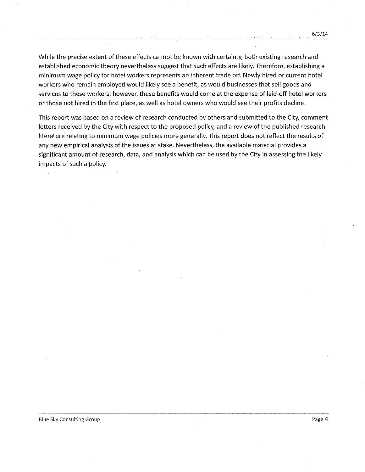While the precise extent of these effects cannot be known with certainty, both existing research and established economic theory nevertheless suggest that such effects are likely. Therefore, establishing a minimum wage policy for hotel workers represents an inherent trade off. Newly hired or current hotel workers who remain employed would likely see a benefit, as would businesses that sell goods and services to these workers; however, these benefits would come at the expense of laid-off hotel workers or those not hired in the first place, as well as hotel owners who would see their profits decline.

This report was based on a review of research conducted by others and submitted to the City, comment letters received by the City with respect to the proposed policy, and a review of the published research literature relating to minimum wage policies more generally. This report does not reflect the results of any new empirical analysis of the issues at stake. Nevertheless, the available material provides a significant amount of research, data, and analysis which can be used by the City in assessing the likely impacts of such a policy.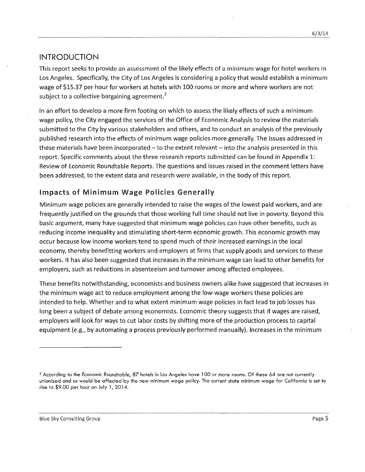## INTRODUCTION

This report seeks to provide an assessment of the likely effects of a minimum wage for hotel workers in Los Angeles. Specifically, the City of Los Angeles is considering a policy that would establish a minimum wage of \$15.37 per hour for workers at hotels with 100 rooms or more and where workers are not subject to a collective bargaining agreement.<sup>2</sup>

In an effort to develop a more firm footing on which to assessthe likely effects of such a minimum wage policy, the City engaged the services of the Office of Economic Analysis to review the materials submitted to the City by various stakeholders and others, and to conduct an analysis of the previously published research into the effects of minimum wage policies more generally. The issues addressed in these materials have been incorporated  $-$  to the extent relevant  $-$  into the analysis presented in this report. Specific comments about the three research reports submitted can be found in Appendix 1: Review of Economic Roundtable Reports. The questions and issues raised in the comment letters have been addressed, to the extent data and research were available, in the body of this report.

## Impacts **of Minimum** Wage Policies Generally

Minimum wage policies are generally intended to raise the wages of the lowest paid workers, and are frequently justified on the grounds that those working full time should not live in poverty. Beyond this basic argument, many have suggested that minimum wage policies can have other benefits, such as reducing income inequality and stimulating short-term economic growth. This economic growth may occur because low income workers tend to spend much of their increased earnings in the local economy, thereby benefitting workers and employers at firms that supply goods and services to these workers. It has also been suggested that increases in the minimum wage can lead to other benefits for employers, such as reductions in absenteeism and turnover among affected employees.

These benefits notwithstanding, economists and business owners alike have suggested that increases in the minimum wage act to reduce employment among the low-wage workers these policies are intended to help. Whether and to what extent minimum wage policies in fact lead to job losses has long been a subject of debate among economists. Economic theory suggests that if wages are raised, employers will look for ways to cut labor costs by shifting more of the production process to capital equipment (e.g., by automating a process previously performed manually). Increases in the minimum

<sup>&</sup>lt;sup>2</sup> According to the Economic Roundtable, 87 hotels in Los Angeles have 100 or more rooms. Of these 64 are not currently unionized and so would be affected by the new minimum wage policy. The current state minimum wage for California is set to **rise to \$9.00 per hour on July 1,2014.**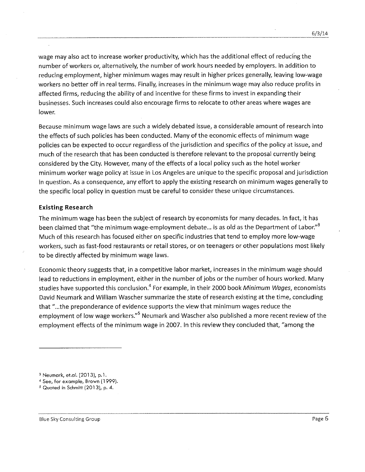wage may also act to increase worker productivity, which has the additional effect of reducing the number of workers or, alternatively, the number of work hours needed by employers. In addition to reducing employment, higher minimum wages may result in higher prices generally, leaving low-wage workers no better off in real terms. Finally, increases in the minimum wage may also reduce profits in affected firms, reducing the ability of and incentive for these firms to invest in expanding their businesses. Such increases could also encourage firms to relocate to other areas where wages are lower.

Because minimum wage laws are such a widely debated issue, a considerable amount of research into the effects of such policies has been conducted. Many of the economic effects of minimum wage policies can be expected to occur regardless of the jurisdiction and specifics of the policy at issue, and much of the research that has been conducted is therefore relevant to the proposal currently being considered by the City. However, many of the effects of a local policy such as the hotel worker minimum worker wage policy at issue in LosAngeles are unique to the specific proposal and jurisdiction in question. As a consequence, any effort to apply the existing research on minimum wages generally to the specific local policy in question must be careful to consider these unique circumstances.

#### **Existing Research**

The minimum wage has been the subject of research by economists for many decades. In fact, it has been claimed that "the minimum wage-employment debate... is as old as the Department of Labor."<sup>3</sup> Much of this research has focused either on specific industries that tend to employ more low-wage workers, such as fast-food restaurants or retail stores, or on teenagers or other populations most likely to be directly affected by minimum wage laws.

Economic theory suggests that, in a competitive labor market, increases in the minimum wage should lead to reductions in employment, either in the number of jobs or the number of hours worked. Many studies have supported this conclusion." For example, in their 2000 book *Minimum Wages,* economists David Neumark and William Wascher summarize the state of research existing at the time, concluding that "...the preponderance of evidence supports the view that minimum wages reduce the employment of low wage workers."<sup>5</sup> Neumark and Wascher also published a more recent review of the employment effects of the minimum wage in 2007. In this review they concluded that, "among the

Blue Sky Consulting Group Page 6

<sup>3</sup> Neumork, et.cl. (2013), p.l.

**<sup>4</sup> See, for example, Brown{1999}.**

 $5$  Quoted in Schmitt (2013), p. 4.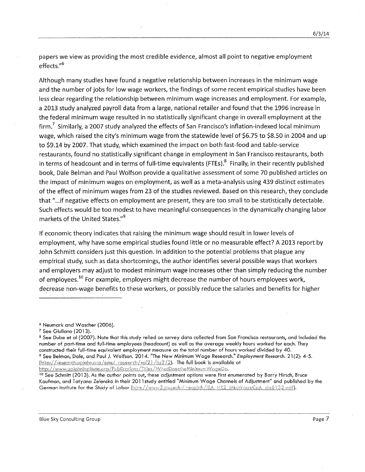papers we view as providing the most credible evidence, almost all point to negative employment effects."<sup>6</sup>

Although many studies have found a negative relationship between increases in the minimum wage and the number of jobs for low wage workers, the findings of some recent empirical studies have been less clear regarding the relationship between minimum wage increases and employment. For example, a 2013 study analyzed payroll data from a large, national retailer and found that the 1996 increase in the federal minimum wage resulted in no statistically significant change in *overall* employment at the firm." Similarly, a 2007 study analyzed the effects of San Francisco's inflation-indexed local minimum wage, which raised the city's minimum wage from the statewide *level* of \$6.75 to \$8.50 in 2004 and up' to \$9.14 by 2007. That study, which examined the impact on both fast-food and table-service restaurants, found no statistically significant change in employment in San Francisco restaurants, both in terms of headcount and in terms of full-time equivalents (FTEs).<sup>8</sup> Finally, in their recently published book, Dale Belman and Paul Wolfson provide a qualitative assessment of some 70 published articles on the impact of minimum wages on employment, as well as a meta-analysis using 439 distinct estimates of the effect of minimum wages from 23 of the studies reviewed. Basedon this research, they conclude that "...if negative effects on employment are present, they are too small to be statistically detectable. Such effects would be too modest to have meaningful consequences in the dynamically changing labor markets of the United States."<sup>9</sup>

If economic theory indicates that raising the minimum wage should result in lower *levels* of employment, why have some empirical studies found little or no measurable effect? A 2013 report by John Schmitt considers just this question. In addition to the potential problems that plague any empirical study, such as data shortcomings, the author identifies several possible ways that workers and employers may adjust to modest minimum wage increases other than simply reducing the number of employees.<sup>10</sup> For example, employers might decrease the number of hours employees work, decrease non-wage benefits to these workers, or possibly reduce the salaries and benefits for higher

**<sup>6</sup> Neumark and Wascher (2006).**

<sup>7</sup> See Giuliano (2013).

<sup>&</sup>lt;sup>8</sup> See Dube et al (2007). Note that this study relied on survey data collected from San Francisco restaurants, and included the number of part-time and full-time employees (headcount) as well as the average weekly hours worked for each. They **constructed their full-time equivalent employment measure as the total number of hours worked divided by 40.** <sup>9</sup> See Belman, Dale, and Paul J. Wolfson. 2014. "The New Minimum Wage Research." Employment Research. 21(2): 4-5. **The full book is available at** http://www.upjohninstitute.org/Publications/Titles/WhatDoestheMinimumWageDo.

<sup>&</sup>lt;sup>10</sup> See Schmitt (2013). As the author points out, these adjustment options were first enumerated by Barry Hirsch, Bruce Kaufman, and Tatyana Zelenska in their 2011study entitled "Minimum Wage Channels of Adjustment" and published by the German Institute for the Study of Labor (http://www2.gsu.edu/~ecobth/IZA, HKZ, MinWageCoA, dp6132.pdf).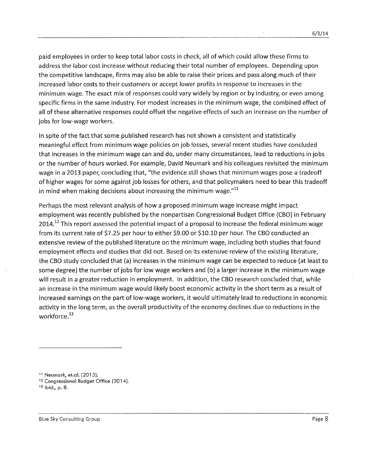paid employees in order to keep total labor costs in check, all of which could allow these firms to address the labor cost increase without reducing their total number of employees. Depending upon the competitive landscape, firms may also be able to raise their prices and passalong much of their increased labor costs to their customers or accept lower profits in response to increases in the minimum wage. The exact mix of responses could vary widely by region or by industry, or even among specific firms in the same industry. For modest increases in the minimum wage, the combined effect of all of these alternative responses could offset the negative effects of such an increase on the number of jobs for low-wage workers.

In spite of the fact that some published research has not shown a consistent and statistically meaningful effect from minimum wage policies on job losses, several recent studies have concluded that increases in the minimum wage can and do, under many circumstances, lead to reductions in jobs or the number of hours worked. For example, David Neumark and his colleagues revisited the minimum wage in a 2013 paper, concluding that, "the evidence still shows that minimum wages pose atradeoff of higher wages for some against job losses for others, and that policymakers need to bear this tradeoff in mind when making decisions about increasing the minimum wage. $^{\prime 11}$ 

Perhaps the most relevant analysis of how a proposed minimum wage increase might impact employment was recently published by the nonpartisan Congressional Budget Office (CBO) in February 2014.<sup>12</sup> This report assessed the potential impact of a proposal to increase the federal minimum wage from its current rate of \$7.25 per hour to either \$9.00 or \$10.10 per hour. The CBO conducted an extensive review of the published literature on the minimum wage, including both studies that found employment effects and studies that did not. Based on its extensive review of the existing literature, the CBO study concluded that (a) increases in the minimum wage can be expected to reduce (at least to some degree) the number of jobs for low wage workers and (b) a larger increase in the minimum wage will result in a greater reduction in employment. In addition, the CBO research concluded that, while an increase in the minimum wage would likely boost economic activity in the short term as a result of increased earnings on the part of low-wage workers, it would ultimately lead to reductions in economic activity in the long term, as the overall productivity of the economy declines due to reductions in the workforce.<sup>13</sup>

**<sup>11</sup> Neumark,** et.cl. **(2013).**

**<sup>12,</sup> Congressional Budget Office {2014j.**

**<sup>13</sup>** lbld., p. **8.**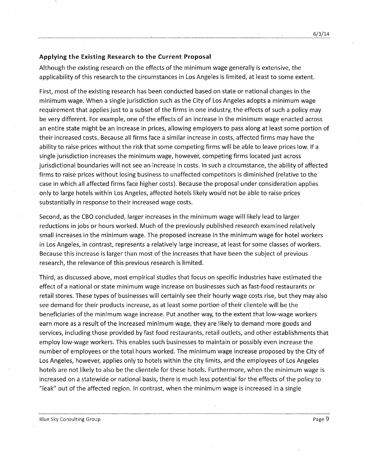#### **Applying the Existing Research to the Current Proposal**

Although the existing research on the effects of the minimum wage generally is extensive, the applicability of this research to the circumstances in Los Angeles is limited, at least to some extent.

First, most of the existing research has been conducted based on state or national changes in the minimum wage. When a single jurisdiction such as the City of Los Angeles adopts a minimum wage requirement that applies just to a subset of the firms in one industry, the effects of such a policy may be very different. For example, one of the effects of an increase in the minimum wage enacted across an entire state might be an increase in prices, allowing employers to passalong at least some portion of their increased costs. Because all firms face asimilar increase in costs, affected firms may have the ability to raise prices without the risk that some competing firms will be able to leave prices low. If a single jurisdiction increases the minimum wage, however, competing firms located just across jurisdictional boundaries will not see an increase in costs. In such a circumstance, the ability of affected firms to raise prices without losing business to unaffected competitors is diminished (relative to the case in which all affected firms face higher costs). Because the proposal under consideration applies only to large hotels within Los Angeles, affected hotels likely would not be able to raise prices substantially in response to their increased wage costs.

Second, as the CBO concluded, larger increases in the minimum wage will likely lead to larger reductions in jobs or hours worked. Much of the previously published research examined relatively small increases in the minimum wage. The proposed increase in the minimum wage for hotel workers in Los Angeles, in contrast, represents a relatively large increase, at least for some classes of workers. Because this increase is larger than most of the increases that have been the subject of previous research, the relevance of this previous research is limited.

Third, as discussed above, most empirical studies that focus on specific industries have estimated the effect of a national or state minimum wage increase on businesses such as fast-food restaurants or retail stores. These types of businesses will certainly see their hourly wage costs rise, but they may also see demand for their products increase, as at least some portion of their clientele will be the beneficiaries of the minimum wage increase. Put another way, to the extent that low-wage workers earn more as a result of the increased minimum wage, they are likely to demand more goods and services, including those provided by fast food restaurants, retail outlets, and other establishments that employ low-wage workers. This enables such businesses to maintain or possibly even increase the number of employees or the total hours worked. The minimum wage increase proposed by the City of Los Angeles, however, applies only to hotels within the city limits, and the employees of Los Angeles hotels are not likely to also be the clientele for these hotels. Furthermore, when the minimum wage is increased on a statewide or national basis, there is much less potential for the effects of the policy to "leak" out ofthe affected region. In contrast, when the minimum wage is increased in a single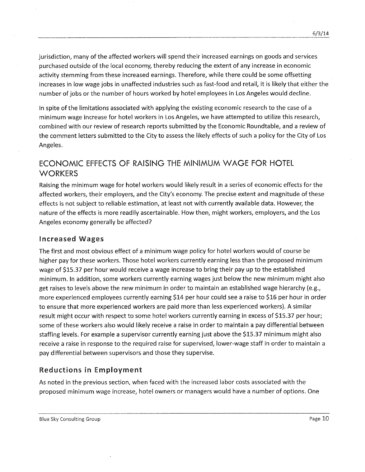jurisdiction, many of the affected workers will spend their increased earnings on goods and services purchased outside of the local economy, thereby reducing the extent of any increase in economic activity stemming from these increased earnings. Therefore, while there could be some offsetting increases in low wage jobs in unaffected industries such as fast-food and retail, it is likely that either the number of jobs or the number of hours worked by hotel employees in Los Angeles would decline.

In spite of the limitations associated with applying the existing economic research to the case of a minimum wage increase for hotel workers in Los Angeles, we have attempted to utilize this research, combined with our review of research reports submitted by the Economic Roundtable, and a review of the comment letters submitted to the City to assessthe likely effects of such a policy for the City of Los Angeles.

# ECONOMIC EFFECTS OF RAISING THE MINIMUM WAGE FOR HOTEL **WORKERS**

Raising the minimum wage for hotel workers would likely result in a series of economic effects for the affected workers, their employers, and the City's economy. The precise extent and magnitude of these effects is not subject to reliable estimation, at least not with currently available data. However, the nature of the effects is more readily ascertainable. How then, might workers, employers, and the Los Angeles economy generally be affected?

#### Increased Wages

The first and most obvious effect of a minimum wage policy for hotel workers would of course be higher pay for these workers. Those hotel workers currently earning less than the proposed minimum wage of \$15.37 per hour would receive a wage increase to bring their pay up to the established minimum. In addition, some workers currently earning wages just below the new minimum might also get raises to levels above the new minimum in order to maintain an established wage hierarchy (e.g., more experienced employees currently earning \$14 per hour could see a raise to \$16 per hour in order to ensure that more experienced workers are paid more than less experienced workers). A similar result might occur with respect to some hotel workers currently earning in excess of \$15.37 per hour; some of these workers also would likely receive a raise in order to maintain a pay differential between staffing levels. For example a supervisor currently earning just above the \$15.37 minimum might also receive a raise in response to the required raise for supervised, lower-wage staff in order to maintain a pay differential between supervisors and those they supervise.

## Reductions **in** Employment

As noted in the previous section, when faced with the increased labor costs associated with the proposed minimum wage increase, hotel owners or managers would have a number of options. One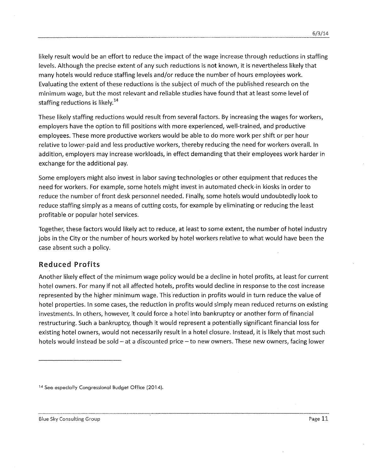likely result would be an effort to reduce the impact of the wage increase through reductions in staffing levels. Although the precise extent of any such reductions is not known, it is nevertheless likely that many hotels would reduce staffing levels and/or reduce the number of hours employees work. Evaluating the extent of these reductions is the subject of much of the published research on the minimum wage, but the most relevant and reliable studies have found that at least some level of staffing reductions is likely. $^{14}$ 

These likely staffing reductions would result from several factors. By increasing the wages for workers, employers have the option to fill positions with more experienced, well-trained, and productive employees. These more productive workers would be able to do more work per shift or per hour relative to lower-paid and less productive workers, thereby reducing the need for workers overall. In addition, employers may increase workloads, in effect demanding that their employees work harder in exchange for the additional pay.

Some employers might also invest in labor saving technologies or other equipment that reduces the need for workers. For example, some hotels might invest in automated check-in kiosks in order to reduce the number of front desk personnel needed. Finally, some hotels would undoubtedly look to reduce staffing simply as a means of cutting costs, for example by eliminating or reducing the least profitable or popular hotel services.

Together, these factors would likely act to reduce, at least to some extent, the number of hotel industry jobs in the City or the number of hours worked by hotel workers relative to what would have been the case absent such a policy.

## **Reduced Profits**

Another likely effect of the minimum wage policy would be a decline in hotel profits, at least for current hotel owners. For many if not all affected hotels, profits would decline in response to the cost increase represented by the higher minimum wage. This 'reduction in profits would in turn reduce the value of hotel properties. In some cases, the reduction in profits would simply mean reduced returns on existing investments. In others, however, it could force a hotel into bankruptcy or another form of financial restructuring. Such a bankruptcy, though it would represent a potentially significant financial loss for existing hotel owners, would not necessarily result in a hotel closure. Instead, it is likely that most such hotels would instead be sold - at a discounted price - to new owners. These new owners, facing lower

**<sup>14</sup> See especially Congressional Budget Office (2014).**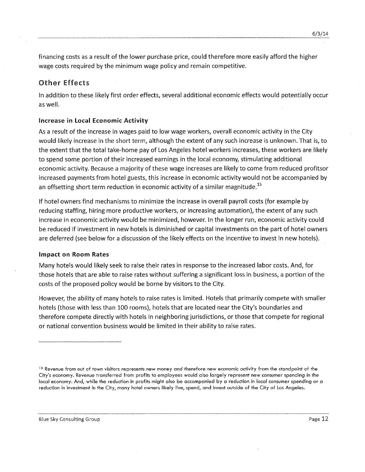financing costs asa result of the lower purchase price, could therefore more easily afford the higher wage costs required by the minimum wage policy and remain competitive.

## Other Effects

In addition to these likely first order effects, several additional economic effects would potentially occur as well.

#### Increase in Local Economic Activity

As a result of the increase in wages paid to low wage workers, overall economic activity in the City would likely increase in the short term, although the extent of any such increase is unknown. That is,to the extent that the total take-home pay of los Angeles hotel workers increases, these workers are likely to spend some portion of their increased earnings in the local economy, stimulating additional economic activity. Because a majority of these wage increases are likely to come from reduced profitsor increased payments from hotel guests, this increase in economic activity would not be accompanied by an offsetting short term reduction in economic activity of a similar magnitude.<sup>15</sup>

If hotel owners find mechanisms to minimize the increase in overall payroll costs (for example by reducing staffing, hiring more productive workers, or increasing automation), the extent of any such increase in economic activity would be minimized, however. In the longer run, economic activity could be reduced if investment in new hotels is diminished or capital investments on the part of hotel owners are deferred (see below for a discussion of the likely effects on the incentive to invest in new hotels).

#### Impact on Room Rates

Many hotels would likely seek to raise their rates in response to the increased labor costs. And, for those hotels that are able to raise rates without suffering a significant loss in business, a portion of the costs of the proposed policy would be borne by visitors to the City.

However, the ability of many hotels to raise rates is limited. Hotels that primarily compete with smaller hotels (those with less than 100 rooms), hotels that are located near the City's boundaries and therefore compete directly with hotels in neighboring jurisdictions, or those that compete for regional or national convention business would be limited in their ability to raise rates.

<sup>&</sup>lt;sup>15</sup> Revenue from out of town visitors represents new money and therefore new economic activity from the standpoint of the City's economy. Revenue transferred from profits to employees would also largely represent new consumer spending in the local economy. And, while the reduction in profits might else be accompanied by a reduction in local consumer spending or a reduction in investment in the City, many hotel owners likely live, spend, and invest outside of the City of Los Angeles.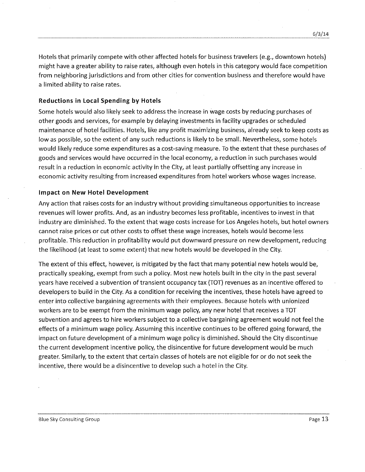Hotels that primarily compete with other affected hotels for business travelers (e.g., downtown hotels) might have a greater ability to raise rates, although *even* hotels in this category would face competition from neighboring jurisdictions and from other cities for convention business and therefore would have a limited ability to raise rates.

#### Reductions in **Local Spending by Hotels**

Some hotels would also likely seek to address the increase in wage costs by reducing purchases of other goods and services, for example by delaying investments in facility upgrades or scheduled maintenance of hotel facilities. Hotels, like any profit maximizing business, already seek to keep costs as low as possible, so the extent of any such reductions is likely to be small. Nevertheless, some hotels would likely reduce some expenditures asa *cost-saving* measure. Tothe extent that these purchases of goods and *services* would have occurred in the local economy, a reduction in such purchases would result in a reduction in economic *activity* in the City, at least partially offsetting any increase in economic *activity* resulting from increased expenditures from hotel workers whose wages increase.

#### Impact **on** New **Hotel** Development

Any action that raises costs for an industry without providing simultaneous opportunities to increase revenues will lower profits. And, as an industry becomes less profitable, incentives to *invest* in that industry are diminished. To the extent that wage costs increase for Los Angeles hotels, but hotel owners cannot raise prices or cut other costs to offset these wage increases, hotels would become less profitable. This reduction in profitability would put downward pressure on new development, reducing the likelihood (at least to some extent) that new hotels would be developed in the City.

The extent of this effect, however, is mitigated by the fact that many potential new hotels would be, practically speaking, exempt from such a policy. Most new hotels built in the city in the past several years have received a subvention of transient occupancy tax (TOT) revenues as an incentive offered to developers to build in the City. As a condition for receiving the incentives, these hotels have agreed to enter into collective bargaining agreements with their employees. Because hotels with unionized workers are to be exempt from the minimum wage policy, any new hotel that receives a TOT subvention and agrees to hire workers subject to a collective bargaining agreement would not feel the effects of a minimum wage policy. Assuming this incentive continues to be offered going forward, the impact on future development of a minimum wage policy is diminished. Should the City discontinue the current development incentive policy, the disincentive for future development would be much greater. Similarly, to the extent that certain classesof hotels are not eligible for or do not seek the incentive, there would be a disincentive to develop such a hotel in the City.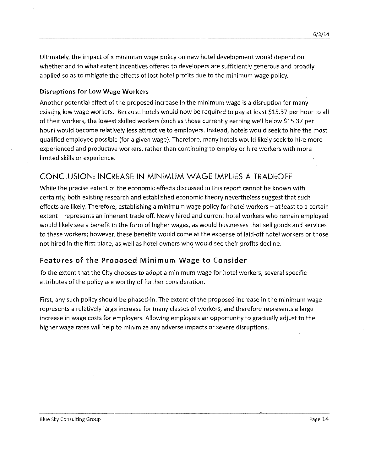Ultimately, the impact of a minimum wage policy on new hotel development would depend on whether and to what extent incentives offered to developers are sufficiently generous and broadly applied so as to mitigate the effects of lost hotel profits due to the minimum wage policy.

#### **Disruptions for Low Wage Workers**

Another potential effect of the proposed increase in the minimum wage is a disruption for many existing low wage workers. Because hotels would now be required to pay at least \$15.37 per hour to all of their workers, the lowest skilled workers (such as those currently earning well below \$15.37 per hour) would become relatively less attractive to employers. Instead, hotels would seek to hire the most qualified employee possible (for a given wage). Therefore, many hotels would likely seek to hire more experienced and productive workers, rather than continuing to employ or hire workers with more limited skills or experience.

## **CONCLUSION: INCREASE IN MINIMUM WAGE IMPLIES A TRADEOFF**

While the precise extent of the economic effects discussed in this report cannot be known with certainty, both existing research and established economic theory nevertheless suggest that such effects are likely. Therefore, establishing a minimum wage policy for hotel workers - at least to a certain extent - represents an inherent trade off. Newly hired and current hotel workers who remain employed would likely see a benefit in the form of higher wages, as would businesses that sell goods and services to these workers; however, these benefits would come at the expense of laid-off hotel workers or those not hired in the first place, as well as hotel owners who would see their profits decline.

## **Features of the Proposed Minimum Wage to Consider**

Tothe extent that the City chooses to adopt a minimum wage for hotel workers, several specific attributes of the policy are worthy of further consideration.

First, any such policy should be phased-in. The extent of the proposed increase in the minimum wage represents a relatively large increase for many classes of workers, and therefore represents a large increase in wage costs for employers. Allowing employers an opportunity to gradually adjust to the higher wage rates will help to minimize any adverse impacts or severe disruptions.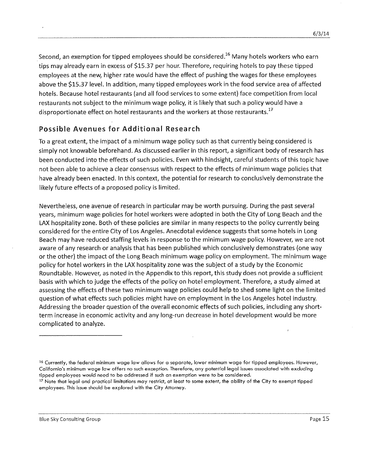Second, an exemption for tipped employees should be considered.<sup>16</sup> Many hotels workers who earn tips may already earn in excess of \$15.37 per hour. Therefore, requiring hotels to pay these tipped employees at the new, higher rate would have the effect of pushing the wages for these employees above the \$15.37 level. In addition, many tipped employees work in the food service area of affected hotels. Because hotel restaurants (and all food services to some extent) face competition from local restaurants not subject to the minimum wage policy, it is likely that such a policy would have a disproportionate effect on hotel restaurants and the workers at those restaurants.<sup>17</sup>

## **Possible** Avenues for Additional Research

Toa great extent, the impact of a minimum wage policy such as that currently being considered is simply not knowable beforehand. As discussed earlier in this report, a significant body of research has been conducted into the effects of such policies. Even with hindsight, careful students of this topic have not been able to achieve a clear consensus with respect to the effects of minimum wage policies that have already been enacted. In this context, the potential for research to conclusively demonstrate the likely future effects of a proposed policy is limited.

Nevertheless, one avenue of research in particular may be worth pursuing. During the past several years, minimum wage policles for hotel workers were adopted in both the City of Long Beach and the LAX hospitality zone. Both of these policies are similar in many respects to the policy currently being considered for the entire City of Los Angeles. Anecdotal evidence suggests that some hotels in Long Beach may have reduced staffing levels in response to the minimum wage policy. However, we are not aware of any research or analysis that has been published which conclusively demonstrates (one way or the other) the impact of the Long Beach minimum wage policy on employment. The minimum wage policy for hotel workers in the LAX hospitality zone was the subject of a study by the Economic Roundtable. However, as noted in the Appendix to this report, this study does not provide a sufficient basis with which to judge the effects of the policy on hotel employment. Therefore, a study aimed at assessing the effects of these two minimum wage policies could help to shed some light on the limited question of what effects such policies might have on employment in the Los Angeles hotel industry. Addressing the broader question of the overall economic effects of such policies, including any shortterm increase in economic activity and any long-run decrease in hotel development would be more complicated to analyze.

---\_.\_---\_.\_-----------------------

<sup>&</sup>lt;sup>16</sup> Currently, the federal minimum wage law allows for a separate, lower minimum wage for tipped employees. However, California's minimum wage law offers no such exception. Therefore, any potential legal issues associated with excluding **tipped employees would need to be addressed if such an exemption were to be considered.**

<sup>&</sup>lt;sup>17</sup> Note that legal and practical limitations may restrict, at least to some extent, the ability of the City to exempt tipped **employees. This issue should be explored with the City Attorney.**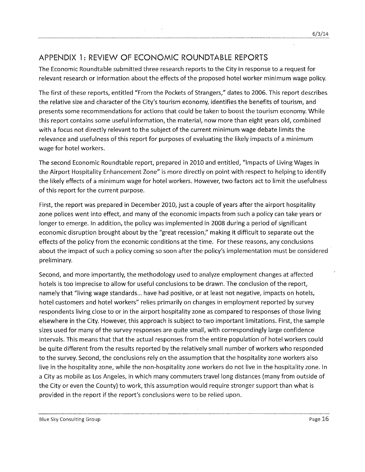## APPENDIX 1: REVIEW OF ECONOMIC ROUNDTABLE REPORTS

The Economic Roundtable submitted three research reports to the City in response to a request for relevant research or information about the effects of the proposed hotel worker minimum wage policy.

The first of these reports, entitled "From the Pockets of Strangers," dates to 2006. This report describes the relative sizeand character of the City's tourism economy, identifies the benefits of tourism, and presents some recommendations for actions that could be taken to boost the tourism economy. While this report contains some useful information, the material, now more than eight years old, combined with a focus not directly relevant to the subject of the current minimum wage debate limits the relevance and usefulness of this report for purposes of evaluating the likely impacts of a minimum wage for hotel workers.

The second Economic Roundtable report, prepared in 2010 and entitled, "Impacts of living Wages in the Airport Hospitality Enhancement Zone" is more directly on point with respect to helping to identify the likely effects of a minimum wage for hotel workers. However, two factors act to limit the usefulness of this report for the current purpose.

First, the report was prepared in December 2010, just a couple of years after the airport hospitality zone polices went into effect, and many of the economic impacts from such a policy can take years or longer to emerge. In addition, the policy was implemented in 2008 during a period of significant economic disruption brought about by the "great recession," making it difficult to separate out the effects of the policy from the economic conditions at the time. For these reasons, any conclusions about the impact of such a policy coming so soon after the policy's implementation must be considered preliminary.

Second, and more importantly, the methodology used to analyze employment changes at affected hotels is too imprecise to allow for useful conclusions to be drawn. The conclusion of the report, namely that "living wage standards... have had positive, or at least not negative, impacts on hotels, hotel customers and hotel workers" relies primarily on changes in employment reported by survey respondents living close to or in the airport hospitality zone as compared to responses of those living elsewhere in the City. However, this approach is subject to two important limitations. First, the sample sizes used for many of the survey responses are quite small, with correspondingly large confidence intervals. This means that that the actual responses from the entire population of hotel workers could be quite different from the results reported by the relatively small number of workers who responded to the survey. Second, the conclusions rely on the assumption that the hospitality zone workers also live in the hospitality zone, while the non-hospitality zone workers do not live in the hospitality zone. In a City as mobile as Los Angeles, in which many commuters travel long distances (many from outside of the City or even the County) to work, this assumption would require stronger support than what is provided in the report if the report's conclusions were to be relied upon.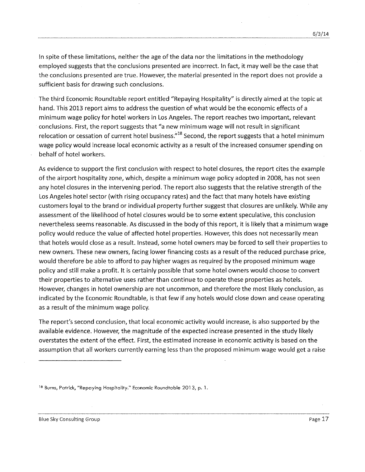In spite of these limitations, neither the age of the data nor the limitations in the methodology employed suggests that the conclusions presented are incorrect. In fact, it may well be the case that the conclusions presented are true. However, the material presented in the report does not provide a sufficient basis for drawing such conclusions.

The third Economic Roundtable report entitled "Repaying Hospitality" is directly aimed at the topic at hand. This 2013 report aims to address the question of what would be the economic effects of a minimum wage policy for hotel workers in Los Angeles. The report reaches two important, relevant conclusions. First, the report suggests that "a new minimum wage will not result in significant relocation or cessation of current hotel business.<sup> $n_{18}$ </sup> Second, the report suggests that a hotel minimum wage policy would increase local economic activity as a result of the increased consumer spending on behalf of hotel workers.

As evidence to support the first conclusion with respect to hotel closures, the report cites the example of the airport hospitality zone, which, despite a minimum wage policy adopted in 2008, has not seen any hotel closures in the intervening period. The report also suggests that the relative strength of the Los Angeles hotel sector (with rising occupancy rates) and the fact that many hotels have existing customers loyal to the brand or individual property further suggest that closures are unlikely. While any assessment of the likelihood of hotel closures would be to some extent speculative, this conclusion nevertheless seems reasonable. As discussed in the body of this report, it is likely that a minimum wage policy would reduce the value of affected hotel properties. However, this does not necessarily mean that hotels would close asa result. Instead, some hotel owners may be forced to sell their properties to new owners. These new owners, facing lower financing costs as a result of the reduced purchase price, would therefore be able to afford to pay higher wages as required by the proposed minimum wage policy and still make a profit. It is certainly possible that some hotel owners would choose to convert their properties to alternative uses rather than continue to operate these properties as hotels. However, changes in hotel ownership are not uncommon, and therefore the most likely conclusion, as indicated by the Economic Roundtable, is that few if any hotels would close down and cease operating as a result of the minimum wage policy.

The report's second conclusion, that local economic activity would increase, is also supported by the available evidence. However, the magnitude of the expected increase presented in the study likely overstates the extent of the effect. First, the estimated increase in economic activity is based on the assumption that all workers currently earning less than the proposed minimum wage would get a raise

**<sup>18</sup> Burns, Patrick, "Repaying Hospitality." Economic Roundtable 2013, p. 1.**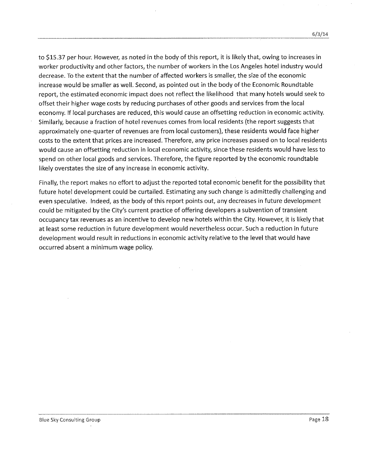to \$15.37 per hour. However, as noted in the body of this report, it is likely that, owing to increases in worker productivity and other factors, the number of workers in the Los Angeles hotel industry would decrease. To the extent that the number of affected workers is smaller, the size of the economic increase would be smaller as well. Second, as pointed out in the body of the Economic Roundtable report, the estimated economic impact does not reflect the likelihood that many hotels would seek to offset their higher wage costs by reducing purchases of other goods and services from the local economy. If local purchases are reduced, this would cause an offsetting reduction in economic activity. Similarly, because afraction of hotel revenues comes from local residents (the report suggests that approximately one-quarter of revenues are from local customers), these residents would face higher costs to the extent that prices are increased. Therefore, any price increases passed on to local residents would cause an offsetting reduction in local economic activity, since these residents would have less to spend on other local goods and services. Therefore, the figure reported by the economic roundtable likely overstates the size of any increase in economic activity.

Finally, the report makes no effort to adjust the reported total economic benefit for the possibility that future hotel development could be curtailed. Estimating any such change is admittedly challenging and even speculative. Indeed, as the body of this report points out, any decreases in future development could be mitigated by the City's current practice of offering developers a subvention of transient occupancy tax revenues as an incentive to develop new hotels within the City. However, it is likely that at least some reduction in future development would nevertheless occur. Such a reduction in future development would result in reductions in economic activity relative to the level that would have occurred absent a minimum wage policy.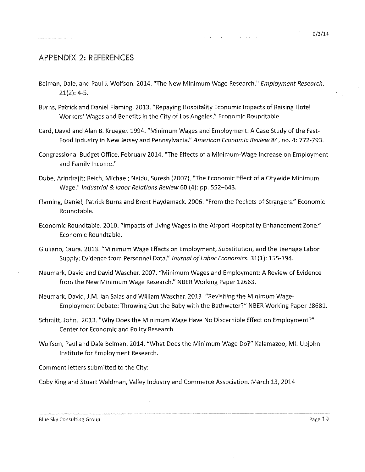#### APPENDIX 2: REFERENCES

- Belman, Dale, and Paul J. Wolfson. 2014. "The New Minimum Wage Research." *Employment Research.* 21(2): 4-5.
- Burns, Patrick and Daniel Flaming. 2013. "Repaying Hospitality Economic Impacts of Raising Hotel Workers' Wages and Benefits in the City of Los Angeles." Economic Roundtable.
- Card, David and Alan B. Krueger. 1994. "Minimum Wages and Employment: A Case Study of the Fast-Food Industry in New Jerseyand Pennsylvania." *American Economic Review* 84, no. 4: 772-793.
- Congressional Budget Office. February 2014. "The Effects of a Minimum-Wage Increase on Employment and Family Income."
- Dube, Arindrajit; Reich, Michael; Naidu, Suresh (2007). "The Economic Effect of a Citywide Minimum Wage." *Industrial* & *labor Relations Review* 60 (4): pp. 552-643.
- Flaming, Daniel, Patrick Burns and Brent Haydamack. 2006. "From the Pockets of Strangers:' Economic Roundtable.
- Economic Roundtable. 2010. "Impacts of Living Wages in the Airport Hospitality Enhancement Zone." Economic Roundtable.
- Giuliano, Laura. 2013. "Minimum Wage Effects on Employment, Substitution, and the Teenage Labor Supply: Evidence from Personnel Data." *Journal of Labor Economics.* 31(1): 155-194.
- Neumark, David and David Wascher. 2007. "Minimum Wages and Employment: A Review of Evidence from the New Minimum Wage Research." NBER Working Paper 12663.
- Neumark, David, J.M. Ian Salas and William Wascher. 2013. "Revisiting the Minimum Wage-Employment Debate: Throwing Out the Baby with the Bathwater?" NBERWorking Paper 18681.
- Schmitt, John. 2013. "Why Does the Minimum Wage Have No Discernible Effect on Employment?" Center for Economic and Policy Research.
- Wolfson, Paul and Dale Belman. 2014. "What Does the Minimum Wage Do?" Kalamazoo, MI: Upjohn Institute for Employment Research.

Comment letters submitted to the City:

Coby King and Stuart Waldman, Valley Industry and Commerce Association. March 13, 2014